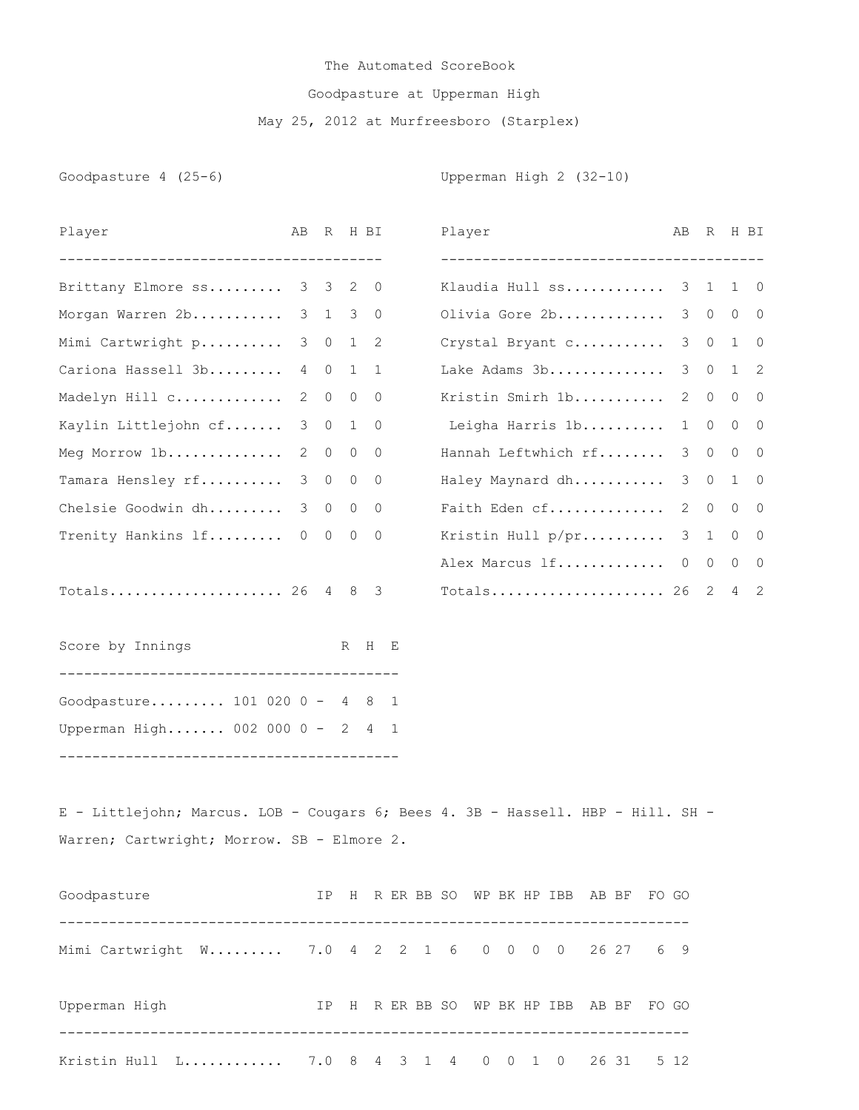## The Automated ScoreBook Goodpasture at Upperman High May 25, 2012 at Murfreesboro (Starplex)

Goodpasture 4 (25-6) Coodpasture 4 (25-6)

| Player                                                                          |               |                |              | AB R H BI           |  | Player                  |  |  |  | AB.            | R H BI      |                |             |
|---------------------------------------------------------------------------------|---------------|----------------|--------------|---------------------|--|-------------------------|--|--|--|----------------|-------------|----------------|-------------|
| Brittany Elmore ss 3 3 2 0                                                      |               |                |              |                     |  | Klaudia Hull ss 3 1 1 0 |  |  |  |                |             |                |             |
| Morgan Warren 2b                                                                |               |                |              | 3 1 3 0             |  | Olivia Gore 2b 3 0 0 0  |  |  |  |                |             |                |             |
| Mimi Cartwright p                                                               | $\mathcal{S}$ |                |              | $0 \quad 1 \quad 2$ |  | Crystal Bryant c        |  |  |  |                | $3 \quad 0$ |                | $1 \quad 0$ |
| Cariona Hassell 3b                                                              |               |                |              | 4 0 1 1             |  | Lake Adams 3b           |  |  |  |                | $3 \quad 0$ |                | $1 \quad 2$ |
| Madelyn Hill c                                                                  | 2             | $\overline{0}$ | $\circ$      | $\overline{0}$      |  | Kristin Smirh 1b        |  |  |  | 2              | $\circ$     |                | $0\quad 0$  |
| Kaylin Littlejohn cf                                                            | 3             | $\overline{0}$ | $\mathbf{1}$ | $\overline{0}$      |  | Leigha Harris 1b        |  |  |  | 1              | $\circ$     |                | $0\quad 0$  |
| Meg Morrow 1b                                                                   | 2             | $\overline{0}$ |              | $0\quad 0$          |  | Hannah Leftwhich rf     |  |  |  | 3 <sup>7</sup> | $\circ$     | $\overline{0}$ | 0           |
| Tamara Hensley rf                                                               | 3             | $\overline{0}$ | $\circ$      | $\overline{0}$      |  | Haley Maynard dh        |  |  |  | 3 <sup>7</sup> | $\circ$     |                | $1 \quad 0$ |
| Chelsie Goodwin dh                                                              | $\mathcal{S}$ | $\overline{0}$ |              | $0\qquad 0$         |  | Faith Eden cf           |  |  |  | $\mathbf{2}$   | $\circ$     |                | $0\qquad 0$ |
| Trenity Hankins lf 0                                                            |               |                | $0\quad 0$   | $\overline{0}$      |  | Kristin Hull p/pr       |  |  |  |                | 3 1         | $\circ$        | $\circ$     |
|                                                                                 |               |                |              |                     |  | Alex Marcus 1f 0 0 0 0  |  |  |  |                |             |                |             |
| Totals 26 4 8 3                                                                 |               |                |              |                     |  | Totals 26 2 4 2         |  |  |  |                |             |                |             |
| Score by Innings                                                                |               |                |              | R H E               |  |                         |  |  |  |                |             |                |             |
| Goodpasture 101 020 0 - 4 8 1                                                   |               |                |              |                     |  |                         |  |  |  |                |             |                |             |
| Upperman High 002 000 0 - 2 4 1                                                 |               |                |              |                     |  |                         |  |  |  |                |             |                |             |
| E - Littlejohn; Marcus. LOB - Cougars 6; Bees 4. 3B - Hassell. HBP - Hill. SH - |               |                |              |                     |  |                         |  |  |  |                |             |                |             |
| Warren; Cartwright; Morrow. SB - Elmore 2.                                      |               |                |              |                     |  |                         |  |  |  |                |             |                |             |
| IP H R ER BB SO WP BK HP IBB AB BF FO GO<br>Goodpasture                         |               |                |              |                     |  |                         |  |  |  |                |             |                |             |
| Mimi Cartwright W 7.0 4 2 2 1 6 0 0 0 0 26 27 6 9                               |               |                |              |                     |  |                         |  |  |  |                |             |                |             |
| Upperman High TP H R ER BB SO WP BK HP IBB AB BF FO GO                          |               |                |              |                     |  |                         |  |  |  |                |             |                |             |
| Kristin Hull L 7.0 8 4 3 1 4 0 0 1 0 26 31 5 12                                 |               |                |              |                     |  |                         |  |  |  |                |             |                |             |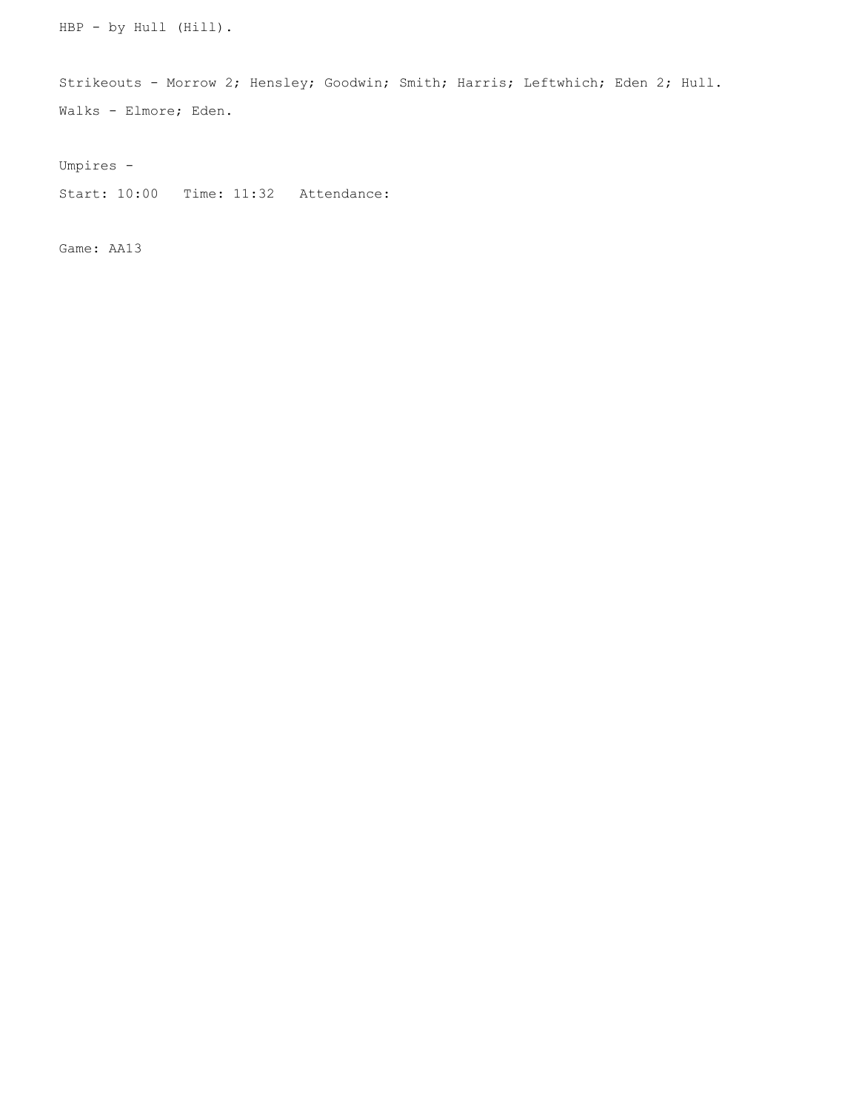HBP - by Hull (Hill).

Strikeouts - Morrow 2; Hensley; Goodwin; Smith; Harris; Leftwhich; Eden 2; Hull. Walks - Elmore; Eden.

Umpires -

Start: 10:00 Time: 11:32 Attendance:

Game: AA13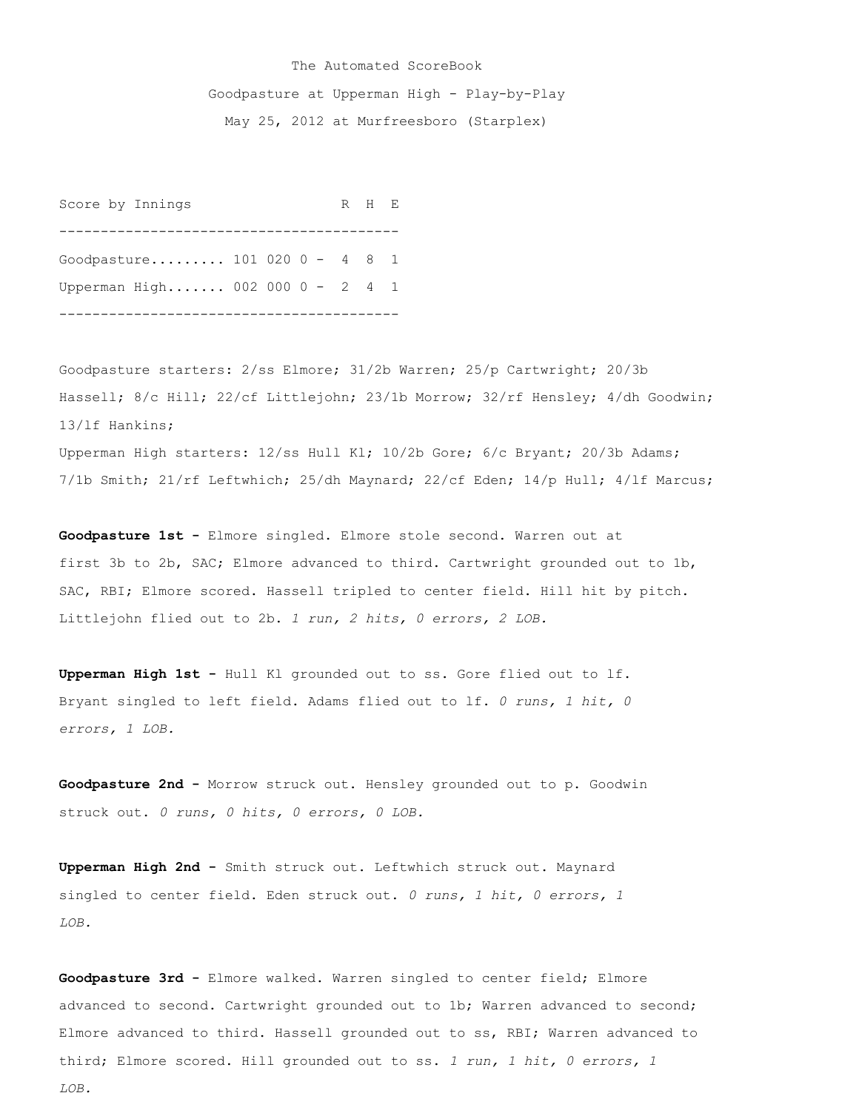## The Automated ScoreBook Goodpasture at Upperman High - Play-by-Play May 25, 2012 at Murfreesboro (Starplex)

Score by Innings R H E ----------------------------------------- Goodpasture......... 101 020 0 - 4 8 1 Upperman High....... 002 000 0 - 2 4 1 -----------------------------------------

Goodpasture starters: 2/ss Elmore; 31/2b Warren; 25/p Cartwright; 20/3b Hassell; 8/c Hill; 22/cf Littlejohn; 23/1b Morrow; 32/rf Hensley; 4/dh Goodwin; 13/lf Hankins; Upperman High starters: 12/ss Hull Kl; 10/2b Gore; 6/c Bryant; 20/3b Adams; 7/1b Smith; 21/rf Leftwhich; 25/dh Maynard; 22/cf Eden; 14/p Hull; 4/lf Marcus;

**Goodpasture 1st -** Elmore singled. Elmore stole second. Warren out at first 3b to 2b, SAC; Elmore advanced to third. Cartwright grounded out to 1b, SAC, RBI; Elmore scored. Hassell tripled to center field. Hill hit by pitch. Littlejohn flied out to 2b. *1 run, 2 hits, 0 errors, 2 LOB.*

**Upperman High 1st -** Hull Kl grounded out to ss. Gore flied out to lf. Bryant singled to left field. Adams flied out to lf. *0 runs, 1 hit, 0 errors, 1 LOB.*

**Goodpasture 2nd -** Morrow struck out. Hensley grounded out to p. Goodwin struck out. *0 runs, 0 hits, 0 errors, 0 LOB.*

**Upperman High 2nd -** Smith struck out. Leftwhich struck out. Maynard singled to center field. Eden struck out. *0 runs, 1 hit, 0 errors, 1 LOB.*

**Goodpasture 3rd -** Elmore walked. Warren singled to center field; Elmore advanced to second. Cartwright grounded out to 1b; Warren advanced to second; Elmore advanced to third. Hassell grounded out to ss, RBI; Warren advanced to third; Elmore scored. Hill grounded out to ss. *1 run, 1 hit, 0 errors, 1 LOB.*